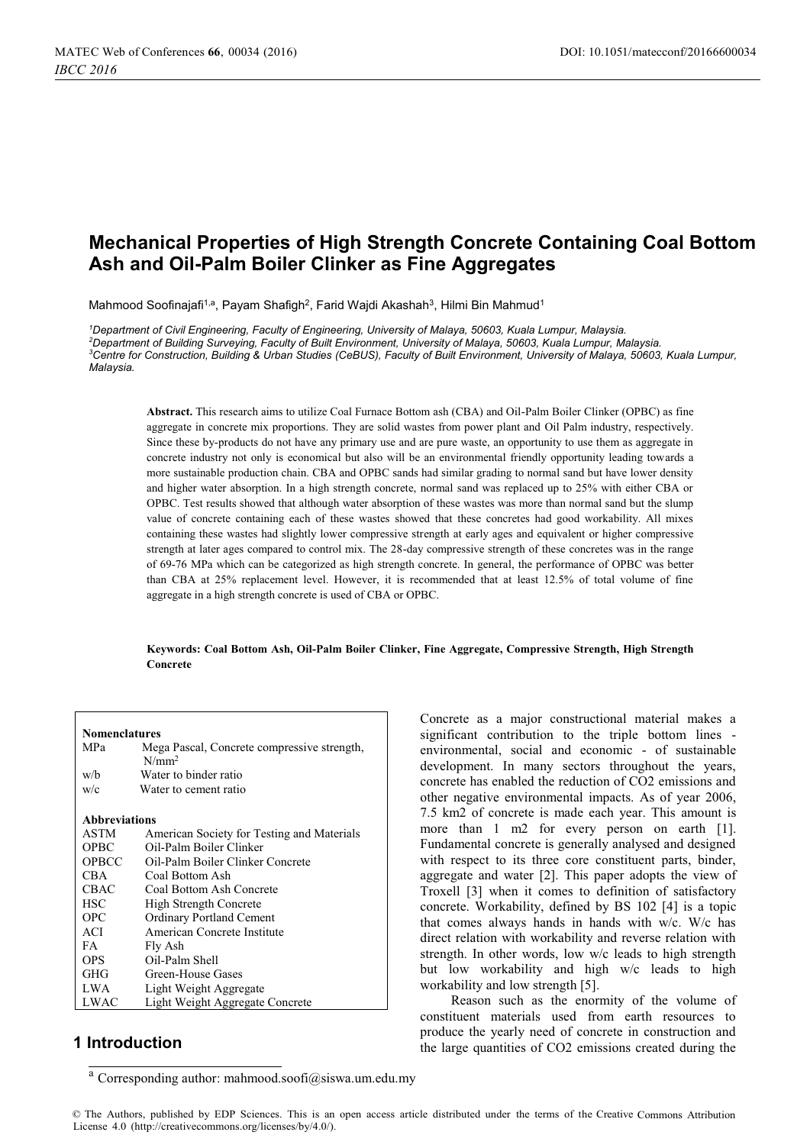# **Mechanical Properties of High Strength Concrete Containing Coal Bottom Ash and Oil-Palm Boiler Clinker as Fine Aggregates**

Mahmood Soofinajafi<sup>1,a</sup>, Payam Shafigh<sup>2</sup>, Farid Wajdi Akashah<sup>3</sup>, Hilmi Bin Mahmud<sup>1</sup>

*1 Department of Civil Engineering, Faculty of Engineering, University of Malaya, 50603, Kuala Lumpur, Malaysia. 2 Department of Building Surveying, Faculty of Built Environment, University of Malaya, 50603, Kuala Lumpur, Malaysia. 3 Centre for Construction, Building & Urban Studies (CeBUS), Faculty of Built Environment, University of Malaya, 50603, Kuala Lumpur, Malaysia.* 

**Abstract.** This research aims to utilize Coal Furnace Bottom ash (CBA) and Oil-Palm Boiler Clinker (OPBC) as fine aggregate in concrete mix proportions. They are solid wastes from power plant and Oil Palm industry, respectively. Since these by-products do not have any primary use and are pure waste, an opportunity to use them as aggregate in concrete industry not only is economical but also will be an environmental friendly opportunity leading towards a more sustainable production chain. CBA and OPBC sands had similar grading to normal sand but have lower density and higher water absorption. In a high strength concrete, normal sand was replaced up to 25% with either CBA or OPBC. Test results showed that although water absorption of these wastes was more than normal sand but the slump value of concrete containing each of these wastes showed that these concretes had good workability. All mixes containing these wastes had slightly lower compressive strength at early ages and equivalent or higher compressive strength at later ages compared to control mix. The 28-day compressive strength of these concretes was in the range of 69-76 MPa which can be categorized as high strength concrete. In general, the performance of OPBC was better than CBA at 25% replacement level. However, it is recommended that at least 12.5% of total volume of fine aggregate in a high strength concrete is used of CBA or OPBC.

#### **Keywords: Coal Bottom Ash, Oil-Palm Boiler Clinker, Fine Aggregate, Compressive Strength, High Strength Concrete**

#### **Nomenclatures**

| MPa                  | Mega Pascal, Concrete compressive strength,<br>$N/mm^2$ |
|----------------------|---------------------------------------------------------|
| w/b                  | Water to binder ratio                                   |
| W/c                  | Water to cement ratio                                   |
|                      |                                                         |
| <b>Abbreviations</b> |                                                         |
| ASTM                 | American Society for Testing and Materials              |
| <b>OPBC</b>          | Oil-Palm Boiler Clinker                                 |
| OPBCC                | Oil-Palm Boiler Clinker Concrete                        |
| <b>CBA</b>           | Coal Bottom Ash                                         |
| <b>CBAC</b>          | Coal Bottom Ash Concrete                                |
| <b>HSC</b>           | <b>High Strength Concrete</b>                           |
| <b>OPC</b>           | <b>Ordinary Portland Cement</b>                         |
| <b>ACI</b>           | American Concrete Institute                             |
| FA.                  | Fly Ash                                                 |
| OPS                  | Oil-Palm Shell                                          |
| GHG                  | Green-House Gases                                       |
| LWA                  | Light Weight Aggregate                                  |
| LWAC                 | Light Weight Aggregate Concrete                         |

### **1 Introduction**

Concrete as a major constructional material makes a significant contribution to the triple bottom lines environmental, social and economic - of sustainable development. In many sectors throughout the years, concrete has enabled the reduction of CO2 emissions and other negative environmental impacts. As of year 2006, 7.5 km2 of concrete is made each year. This amount is more than 1 m2 for every person on earth [1]. Fundamental concrete is generally analysed and designed with respect to its three core constituent parts, binder, aggregate and water [2]. This paper adopts the view of Troxell [3] when it comes to definition of satisfactory concrete. Workability, defined by BS 102 [4] is a topic that comes always hands in hands with w/c. W/c has direct relation with workability and reverse relation with strength. In other words, low w/c leads to high strength but low workability and high w/c leads to high workability and low strength [5].

Reason such as the enormity of the volume of constituent materials used from earth resources to produce the yearly need of concrete in construction and the large quantities of CO2 emissions created during the

© The Authors, published by EDP Sciences. This is an open access article distributed under the terms of the Creative Commons Attribution License 4.0 [\(http://creativecommons.org/licenses/by/4.0/\).](http://creativecommons.org/licenses/by/4.0/) 

 $a$  Corresponding author: [mahmood.soofi@siswa.um.edu.my](mailto:mahmood.soofi@siswa.um.edu.my)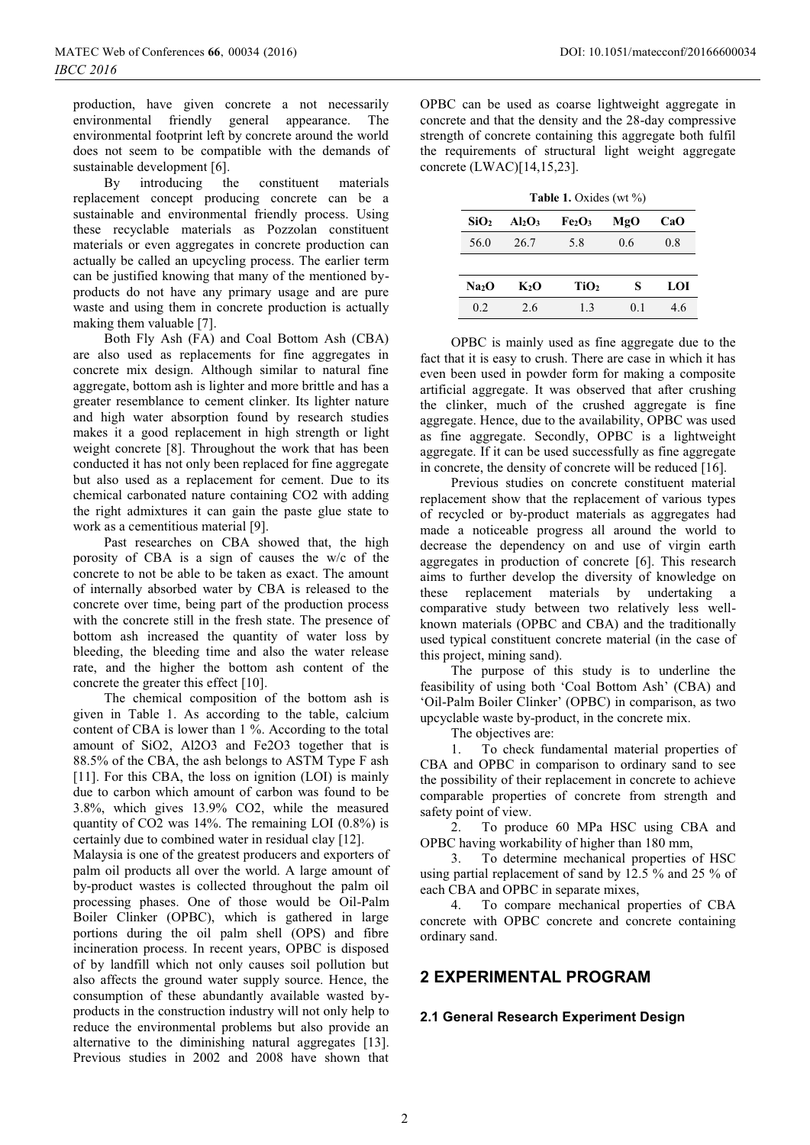production, have given concrete a not necessarily environmental friendly general appearance. The environmental footprint left by concrete around the world does not seem to be compatible with the demands of sustainable development [6].

By introducing the constituent materials replacement concept producing concrete can be a sustainable and environmental friendly process. Using these recyclable materials as Pozzolan constituent materials or even aggregates in concrete production can actually be called an upcycling process. The earlier term can be justified knowing that many of the mentioned byproducts do not have any primary usage and are pure waste and using them in concrete production is actually making them valuable [7].

Both Fly Ash (FA) and Coal Bottom Ash (CBA) are also used as replacements for fine aggregates in concrete mix design. Although similar to natural fine aggregate, bottom ash is lighter and more brittle and has a greater resemblance to cement clinker. Its lighter nature and high water absorption found by research studies makes it a good replacement in high strength or light weight concrete [8]. Throughout the work that has been conducted it has not only been replaced for fine aggregate but also used as a replacement for cement. Due to its chemical carbonated nature containing CO2 with adding the right admixtures it can gain the paste glue state to work as a cementitious material [9].

Past researches on CBA showed that, the high porosity of CBA is a sign of causes the w/c of the concrete to not be able to be taken as exact. The amount of internally absorbed water by CBA is released to the concrete over time, being part of the production process with the concrete still in the fresh state. The presence of bottom ash increased the quantity of water loss by bleeding, the bleeding time and also the water release rate, and the higher the bottom ash content of the concrete the greater this effect [10].

The chemical composition of the bottom ash is given in Table 1. As according to the table, calcium content of CBA is lower than 1 %. According to the total amount of SiO2, Al2O3 and Fe2O3 together that is 88.5% of the CBA, the ash belongs to ASTM Type F ash [11]. For this CBA, the loss on ignition (LOI) is mainly due to carbon which amount of carbon was found to be 3.8%, which gives 13.9% CO2, while the measured quantity of CO2 was 14%. The remaining LOI (0.8%) is certainly due to combined water in residual clay [12].

Malaysia is one of the greatest producers and exporters of palm oil products all over the world. A large amount of by-product wastes is collected throughout the palm oil processing phases. One of those would be Oil-Palm Boiler Clinker (OPBC), which is gathered in large portions during the oil palm shell (OPS) and fibre incineration process. In recent years, OPBC is disposed of by landfill which not only causes soil pollution but also affects the ground water supply source. Hence, the consumption of these abundantly available wasted byproducts in the construction industry will not only help to reduce the environmental problems but also provide an alternative to the diminishing natural aggregates [13]. Previous studies in 2002 and 2008 have shown that

OPBC can be used as coarse lightweight aggregate in concrete and that the density and the 28-day compressive strength of concrete containing this aggregate both fulfil the requirements of structural light weight aggregate concrete (LWAC)[14,15,23].

| <b>Table 1.</b> Oxides (wt $\%$ ) |           |                       |     |     |  |  |  |
|-----------------------------------|-----------|-----------------------|-----|-----|--|--|--|
| SiO <sub>2</sub>                  | $Al_2O_3$ | CaO                   |     |     |  |  |  |
| 56.0                              | 26.7      | 5.8                   | 0.6 | 0.8 |  |  |  |
|                                   |           |                       |     |     |  |  |  |
| Na <sub>2</sub> O                 | $K_2$ O   | TiO <sub>2</sub><br>s |     | LOI |  |  |  |
| 0.2                               | 2.6       | 1.3                   | 0.1 | 46  |  |  |  |

OPBC is mainly used as fine aggregate due to the fact that it is easy to crush. There are case in which it has even been used in powder form for making a composite artificial aggregate. It was observed that after crushing the clinker, much of the crushed aggregate is fine aggregate. Hence, due to the availability, OPBC was used as fine aggregate. Secondly, OPBC is a lightweight aggregate. If it can be used successfully as fine aggregate in concrete, the density of concrete will be reduced [16].

Previous studies on concrete constituent material replacement show that the replacement of various types of recycled or by-product materials as aggregates had made a noticeable progress all around the world to decrease the dependency on and use of virgin earth aggregates in production of concrete [6]. This research aims to further develop the diversity of knowledge on these replacement materials by undertaking a comparative study between two relatively less wellknown materials (OPBC and CBA) and the traditionally used typical constituent concrete material (in the case of this project, mining sand).

The purpose of this study is to underline the feasibility of using both 'Coal Bottom Ash' (CBA) and 'Oil-Palm Boiler Clinker' (OPBC) in comparison, as two upcyclable waste by-product, in the concrete mix.

The objectives are:

1. To check fundamental material properties of CBA and OPBC in comparison to ordinary sand to see the possibility of their replacement in concrete to achieve comparable properties of concrete from strength and safety point of view.

2. To produce 60 MPa HSC using CBA and OPBC having workability of higher than 180 mm,

3. To determine mechanical properties of HSC using partial replacement of sand by 12.5 % and 25 % of each CBA and OPBC in separate mixes,

4. To compare mechanical properties of CBA concrete with OPBC concrete and concrete containing ordinary sand.

## **2 EXPERIMENTAL PROGRAM**

### **2.1 General Research Experiment Design**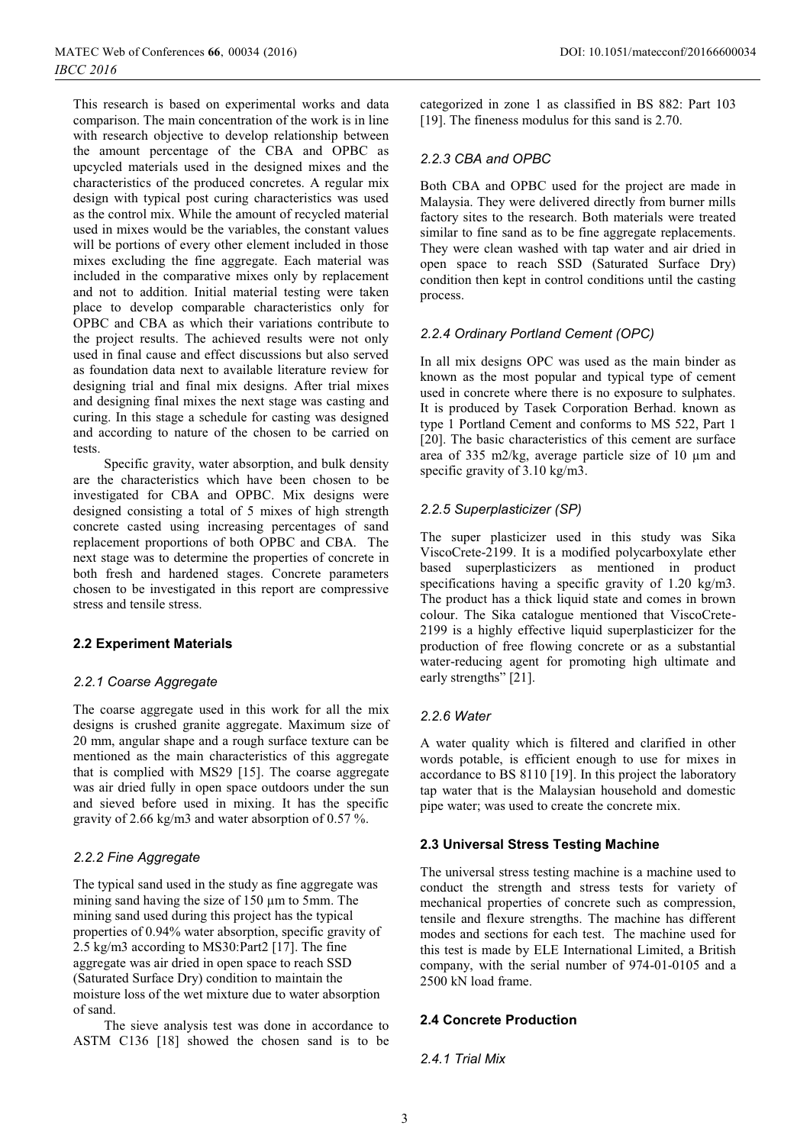This research is based on experimental works and data comparison. The main concentration of the work is in line with research objective to develop relationship between the amount percentage of the CBA and OPBC as upcycled materials used in the designed mixes and the characteristics of the produced concretes. A regular mix design with typical post curing characteristics was used as the control mix. While the amount of recycled material used in mixes would be the variables, the constant values will be portions of every other element included in those mixes excluding the fine aggregate. Each material was included in the comparative mixes only by replacement and not to addition. Initial material testing were taken place to develop comparable characteristics only for OPBC and CBA as which their variations contribute to the project results. The achieved results were not only used in final cause and effect discussions but also served as foundation data next to available literature review for designing trial and final mix designs. After trial mixes and designing final mixes the next stage was casting and curing. In this stage a schedule for casting was designed and according to nature of the chosen to be carried on tests.

Specific gravity, water absorption, and bulk density are the characteristics which have been chosen to be investigated for CBA and OPBC. Mix designs were designed consisting a total of 5 mixes of high strength concrete casted using increasing percentages of sand replacement proportions of both OPBC and CBA. The next stage was to determine the properties of concrete in both fresh and hardened stages. Concrete parameters chosen to be investigated in this report are compressive stress and tensile stress.

### **2.2 Experiment Materials**

### *2.2.1 Coarse Aggregate*

The coarse aggregate used in this work for all the mix designs is crushed granite aggregate. Maximum size of 20 mm, angular shape and a rough surface texture can be mentioned as the main characteristics of this aggregate that is complied with MS29 [15]. The coarse aggregate was air dried fully in open space outdoors under the sun and sieved before used in mixing. It has the specific gravity of 2.66 kg/m3 and water absorption of 0.57 %.

### *2.2.2 Fine Aggregate*

The typical sand used in the study as fine aggregate was mining sand having the size of 150 μm to 5mm. The mining sand used during this project has the typical properties of 0.94% water absorption, specific gravity of 2.5 kg/m3 according to MS30:Part2 [17]. The fine aggregate was air dried in open space to reach SSD (Saturated Surface Dry) condition to maintain the moisture loss of the wet mixture due to water absorption of sand.

The sieve analysis test was done in accordance to ASTM C136 [18] showed the chosen sand is to be categorized in zone 1 as classified in BS 882: Part 103 [19]. The fineness modulus for this sand is 2.70.

### *2.2.3 CBA and OPBC*

Both CBA and OPBC used for the project are made in Malaysia. They were delivered directly from burner mills factory sites to the research. Both materials were treated similar to fine sand as to be fine aggregate replacements. They were clean washed with tap water and air dried in open space to reach SSD (Saturated Surface Dry) condition then kept in control conditions until the casting process.

### *2.2.4 Ordinary Portland Cement (OPC)*

In all mix designs OPC was used as the main binder as known as the most popular and typical type of cement used in concrete where there is no exposure to sulphates. It is produced by Tasek Corporation Berhad. known as type 1 Portland Cement and conforms to MS 522, Part 1 [20]. The basic characteristics of this cement are surface area of 335 m2/kg, average particle size of 10 μm and specific gravity of 3.10 kg/m3.

### *2.2.5 Superplasticizer (SP)*

The super plasticizer used in this study was Sika ViscoCrete-2199. It is a modified polycarboxylate ether based superplasticizers as mentioned in product specifications having a specific gravity of 1.20 kg/m3. The product has a thick liquid state and comes in brown colour. The Sika catalogue mentioned that ViscoCrete-2199 is a highly effective liquid superplasticizer for the production of free flowing concrete or as a substantial water-reducing agent for promoting high ultimate and early strengths" [21].

### *2.2.6 Water*

A water quality which is filtered and clarified in other words potable, is efficient enough to use for mixes in accordance to BS 8110 [19]. In this project the laboratory tap water that is the Malaysian household and domestic pipe water; was used to create the concrete mix.

### **2.3 Universal Stress Testing Machine**

The universal stress testing machine is a machine used to conduct the strength and stress tests for variety of mechanical properties of concrete such as compression, tensile and flexure strengths. The machine has different modes and sections for each test. The machine used for this test is made by ELE International Limited, a British company, with the serial number of 974-01-0105 and a 2500 kN load frame.

### **2.4 Concrete Production**

*2.4.1 Trial Mix*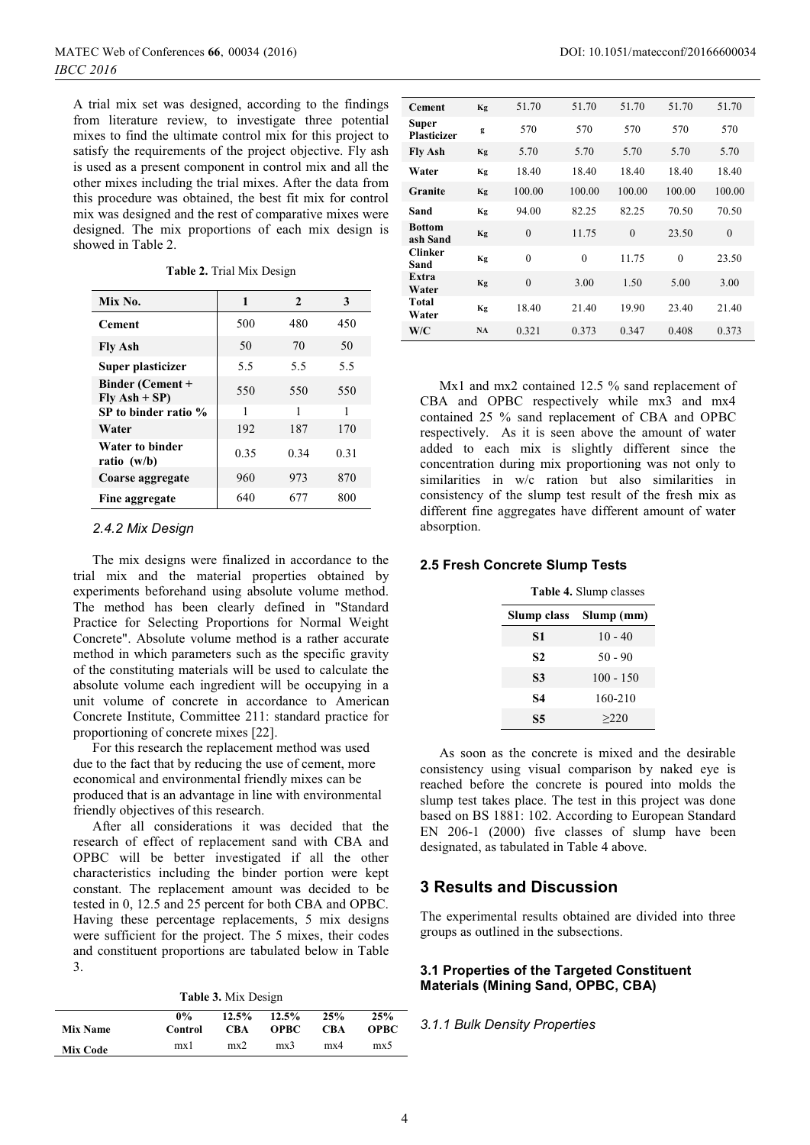A trial mix set was designed, according to the findings from literature review, to investigate three potential mixes to find the ultimate control mix for this project to satisfy the requirements of the project objective. Fly ash is used as a present component in control mix and all the other mixes including the trial mixes. After the data from this procedure was obtained, the best fit mix for control mix was designed and the rest of comparative mixes were designed. The mix proportions of each mix design is showed in Table 2.

| Mix No.                                       | 1    | $\mathbf{r}$ | 3    |
|-----------------------------------------------|------|--------------|------|
| <b>Cement</b>                                 | 500  | 480          | 450  |
| <b>Fly Ash</b>                                | 50   | 70           | 50   |
| Super plasticizer                             | 5.5  | 5.5          | 5.5  |
| <b>Binder (Cement +</b><br>$Fly$ Ash + $SP$ ) | 550  | 550          | 550  |
| SP to binder ratio %                          | 1    | 1            | 1    |
| Water                                         | 192  | 187          | 170  |
| Water to binder<br>ratio $(w/b)$              | 0.35 | 0.34         | 0.31 |
| Coarse aggregate                              | 960  | 973          | 870  |
| Fine aggregate                                | 640  | 677          | 800  |

#### *2.4.2 Mix Design*

The mix designs were finalized in accordance to the trial mix and the material properties obtained by experiments beforehand using absolute volume method. The method has been clearly defined in "Standard Practice for Selecting Proportions for Normal Weight Concrete". Absolute volume method is a rather accurate method in which parameters such as the specific gravity of the constituting materials will be used to calculate the absolute volume each ingredient will be occupying in a unit volume of concrete in accordance to American Concrete Institute, Committee 211: standard practice for proportioning of concrete mixes [22].

For this research the replacement method was used due to the fact that by reducing the use of cement, more economical and environmental friendly mixes can be produced that is an advantage in line with environmental friendly objectives of this research.

After all considerations it was decided that the research of effect of replacement sand with CBA and OPBC will be better investigated if all the other characteristics including the binder portion were kept constant. The replacement amount was decided to be tested in 0, 12.5 and 25 percent for both CBA and OPBC. Having these percentage replacements, 5 mix designs were sufficient for the project. The 5 mixes, their codes and constituent proportions are tabulated below in Table 3.

| <b>Mix Name</b> | $0\%$   | 12.5%      | $12.5\%$    | 25%        | 25%             |
|-----------------|---------|------------|-------------|------------|-----------------|
|                 | Control | <b>CBA</b> | <b>OPBC</b> | <b>CBA</b> | <b>OPBC</b>     |
| <b>Mix Code</b> | mx1     | mx2        | mx3         | mx4        | mx <sub>5</sub> |

| <b>Cement</b>               | Kg        | 51.70    | 51.70    | 51.70    | 51.70    | 51.70    |
|-----------------------------|-----------|----------|----------|----------|----------|----------|
| Super<br><b>Plasticizer</b> | g         | 570      | 570      | 570      | 570      | 570      |
| <b>Fly Ash</b>              | Kg        | 5.70     | 5.70     | 5.70     | 5.70     | 5.70     |
| Water                       | Kg        | 18.40    | 18.40    | 18.40    | 18.40    | 18.40    |
| Granite                     | Kg        | 100.00   | 100.00   | 100.00   | 100.00   | 100.00   |
| Sand                        | Kg        | 94.00    | 82.25    | 82.25    | 70.50    | 70.50    |
| <b>Bottom</b><br>ash Sand   | Kg        | $\theta$ | 11.75    | $\theta$ | 23.50    | $\theta$ |
| <b>Clinker</b><br>Sand      | Kg        | $\theta$ | $\theta$ | 11.75    | $\theta$ | 23.50    |
| Extra<br>Water              | Kg        | $\theta$ | 3.00     | 1.50     | 5.00     | 3.00     |
| Total<br>Water              | Kg        | 18.40    | 21.40    | 19.90    | 23.40    | 21.40    |
| W/C                         | <b>NA</b> | 0.321    | 0.373    | 0.347    | 0.408    | 0.373    |

Mx1 and mx2 contained 12.5 % sand replacement of CBA and OPBC respectively while mx3 and mx4 contained 25 % sand replacement of CBA and OPBC respectively. As it is seen above the amount of water added to each mix is slightly different since the concentration during mix proportioning was not only to similarities in w/c ration but also similarities in consistency of the slump test result of the fresh mix as different fine aggregates have different amount of water absorption.

#### **2.5 Fresh Concrete Slump Tests**

| Table 4. Slump classes |                        |  |  |  |  |
|------------------------|------------------------|--|--|--|--|
|                        | Slump class Slump (mm) |  |  |  |  |
| S1                     | $10 - 40$              |  |  |  |  |
| S2                     | $50 - 90$              |  |  |  |  |
| 83                     | $100 - 150$            |  |  |  |  |
| S4                     | 160-210                |  |  |  |  |
| 85                     | >220                   |  |  |  |  |

As soon as the concrete is mixed and the desirable consistency using visual comparison by naked eye is reached before the concrete is poured into molds the slump test takes place. The test in this project was done based on BS 1881: 102. According to European Standard EN 206-1 (2000) five classes of slump have been designated, as tabulated in Table 4 above.

### **3 Results and Discussion**

The experimental results obtained are divided into three groups as outlined in the subsections.

#### **3.1 Properties of the Targeted Constituent Materials (Mining Sand, OPBC, CBA)**

#### *3.1.1 Bulk Density Properties*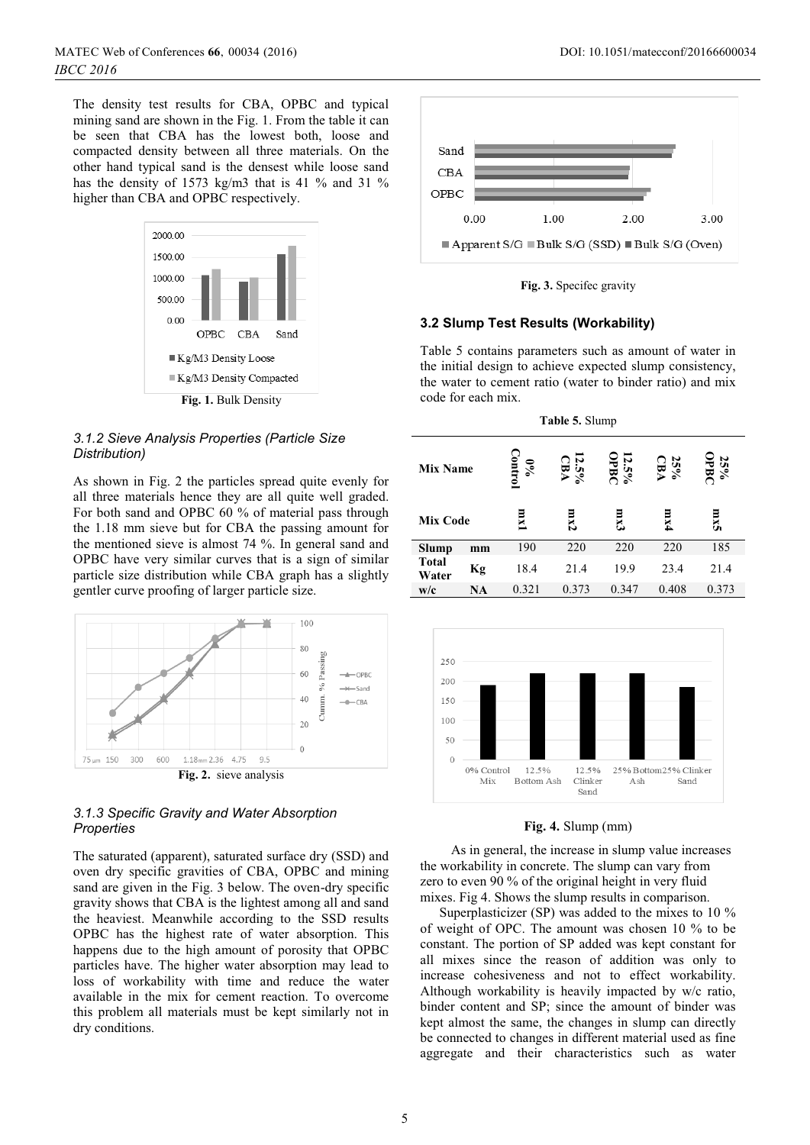The density test results for CBA, OPBC and typical mining sand are shown in the Fig. 1. From the table it can be seen that CBA has the lowest both, loose and compacted density between all three materials. On the other hand typical sand is the densest while loose sand has the density of 1573 kg/m3 that is 41 % and 31 % higher than CBA and OPBC respectively.



*3.1.2 Sieve Analysis Properties (Particle Size Distribution)*

As shown in Fig. 2 the particles spread quite evenly for all three materials hence they are all quite well graded. For both sand and OPBC 60 % of material pass through the 1.18 mm sieve but for CBA the passing amount for the mentioned sieve is almost 74 %. In general sand and OPBC have very similar curves that is a sign of similar particle size distribution while CBA graph has a slightly gentler curve proofing of larger particle size.



### *3.1.3 Specific Gravity and Water Absorption Properties*

The saturated (apparent), saturated surface dry (SSD) and oven dry specific gravities of CBA, OPBC and mining sand are given in the Fig. 3 below. The oven-dry specific gravity shows that CBA is the lightest among all and sand the heaviest. Meanwhile according to the SSD results OPBC has the highest rate of water absorption. This happens due to the high amount of porosity that OPBC particles have. The higher water absorption may lead to loss of workability with time and reduce the water available in the mix for cement reaction. To overcome this problem all materials must be kept similarly not in dry conditions.



**Fig. 3.** Specifec gravity

#### **3.2 Slump Test Results (Workability)**

Table 5 contains parameters such as amount of water in the initial design to achieve expected slump consistency, the water to cement ratio (water to binder ratio) and mix code for each mix.

**Table 5.** Slump

| <b>Mix Name</b> |    | <b>Contro</b><br>$\mathcal{N}_{\bullet}$ | $12.5\%$<br>CBA | 12.5%<br>OPBC | 25%<br>CBA | 25%<br>प्रॅ |
|-----------------|----|------------------------------------------|-----------------|---------------|------------|-------------|
| <b>Mix Code</b> |    | $\mathbf{m}$                             | mx2             | $\mathbf{m}$  | pxw        | mx5         |
| <b>Slump</b>    | mm | 190                                      | 220             | 220           | 220        | 185         |
| Total<br>Water  | Kg | 18.4                                     | 21.4            | 19.9          | 23.4       | 21.4        |
| w/c             | NA | 0.321                                    | 0.373           | 0.347         | 0.408      | 0.373       |



**Fig. 4.** Slump (mm)

As in general, the increase in slump value increases the workability in concrete. The slump can vary from zero to even 90 % of the original height in very fluid mixes. Fig 4. Shows the slump results in comparison.

Superplasticizer (SP) was added to the mixes to 10 % of weight of OPC. The amount was chosen 10 % to be constant. The portion of SP added was kept constant for all mixes since the reason of addition was only to increase cohesiveness and not to effect workability. Although workability is heavily impacted by w/c ratio, binder content and SP; since the amount of binder was kept almost the same, the changes in slump can directly be connected to changes in different material used as fine aggregate and their characteristics such as water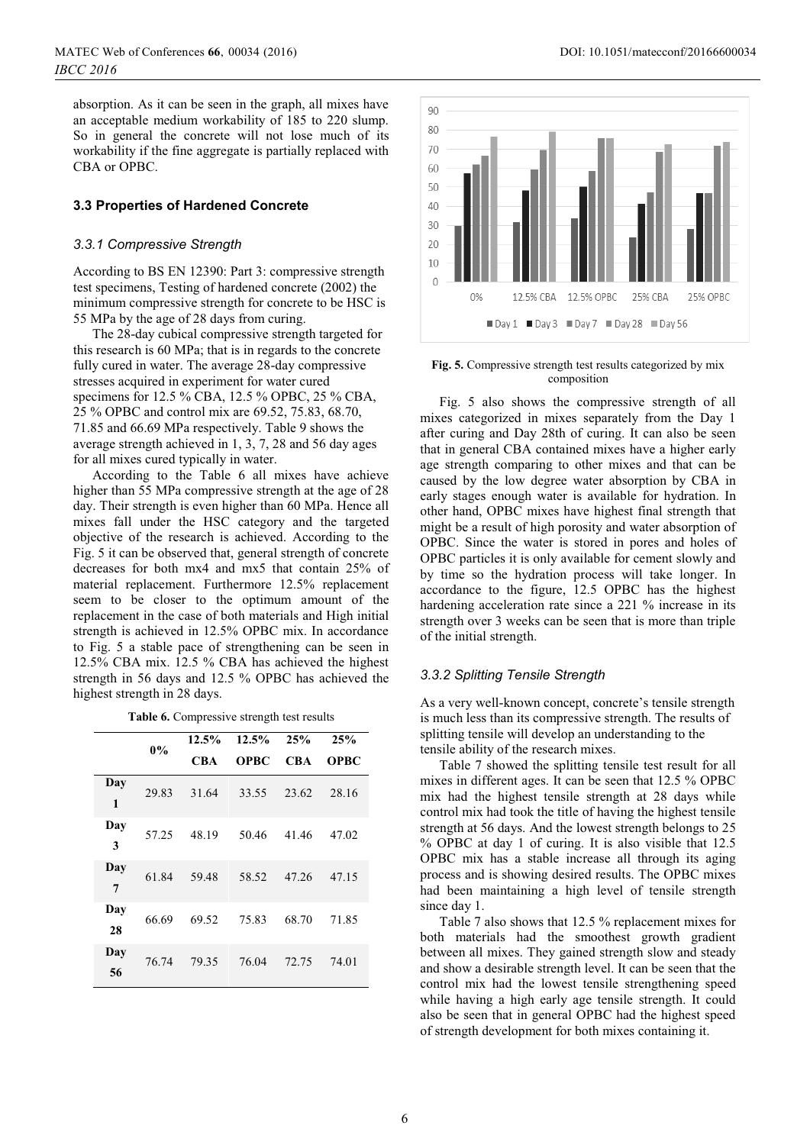absorption. As it can be seen in the graph, all mixes have an acceptable medium workability of 185 to 220 slump. So in general the concrete will not lose much of its workability if the fine aggregate is partially replaced with CBA or OPBC.

#### **3.3 Properties of Hardened Concrete**

#### *3.3.1 Compressive Strength*

According to BS EN 12390: Part 3: compressive strength test specimens, Testing of hardened concrete (2002) the minimum compressive strength for concrete to be HSC is 55 MPa by the age of 28 days from curing.

The 28-day cubical compressive strength targeted for this research is 60 MPa; that is in regards to the concrete fully cured in water. The average 28-day compressive stresses acquired in experiment for water cured specimens for 12.5 % CBA, 12.5 % OPBC, 25 % CBA, 25 % OPBC and control mix are 69.52, 75.83, 68.70, 71.85 and 66.69 MPa respectively. Table 9 shows the average strength achieved in 1, 3, 7, 28 and 56 day ages for all mixes cured typically in water.

According to the Table 6 all mixes have achieve higher than 55 MPa compressive strength at the age of 28 day. Their strength is even higher than 60 MPa. Hence all mixes fall under the HSC category and the targeted objective of the research is achieved. According to the Fig. 5 it can be observed that, general strength of concrete decreases for both mx4 and mx5 that contain 25% of material replacement. Furthermore 12.5% replacement seem to be closer to the optimum amount of the replacement in the case of both materials and High initial strength is achieved in 12.5% OPBC mix. In accordance to Fig. 5 a stable pace of strengthening can be seen in 12.5% CBA mix. 12.5 % CBA has achieved the highest strength in 56 days and 12.5 % OPBC has achieved the highest strength in 28 days.

**Table 6.** Compressive strength test results

|           | 0%    | $12.5\%$ | 12.5% | 25%   | 25%         |
|-----------|-------|----------|-------|-------|-------------|
|           |       | CBA      | OPBC  | CBA   | <b>OPBC</b> |
| Day<br>1  | 29.83 | 31.64    | 33.55 | 23.62 | 28.16       |
| Day<br>3  | 57.25 | 48.19    | 50.46 | 41.46 | 47.02       |
| Day<br>7  | 61.84 | 59.48    | 58.52 | 47.26 | 47.15       |
| Day<br>28 | 66.69 | 69.52    | 75.83 | 68.70 | 71.85       |
| Day<br>56 | 76.74 | 79.35    | 76.04 | 72.75 | 74.01       |



**Fig. 5.** Compressive strength test results categorized by mix composition

Fig. 5 also shows the compressive strength of all mixes categorized in mixes separately from the Day 1 after curing and Day 28th of curing. It can also be seen that in general CBA contained mixes have a higher early age strength comparing to other mixes and that can be caused by the low degree water absorption by CBA in early stages enough water is available for hydration. In other hand, OPBC mixes have highest final strength that might be a result of high porosity and water absorption of OPBC. Since the water is stored in pores and holes of OPBC particles it is only available for cement slowly and by time so the hydration process will take longer. In accordance to the figure, 12.5 OPBC has the highest hardening acceleration rate since a 221 % increase in its strength over 3 weeks can be seen that is more than triple of the initial strength.

#### *3.3.2 Splitting Tensile Strength*

As a very well-known concept, concrete's tensile strength is much less than its compressive strength. The results of splitting tensile will develop an understanding to the tensile ability of the research mixes.

Table 7 showed the splitting tensile test result for all mixes in different ages. It can be seen that 12.5 % OPBC mix had the highest tensile strength at 28 days while control mix had took the title of having the highest tensile strength at 56 days. And the lowest strength belongs to 25 % OPBC at day 1 of curing. It is also visible that 12.5 OPBC mix has a stable increase all through its aging process and is showing desired results. The OPBC mixes had been maintaining a high level of tensile strength since day 1.

Table 7 also shows that 12.5 % replacement mixes for both materials had the smoothest growth gradient between all mixes. They gained strength slow and steady and show a desirable strength level. It can be seen that the control mix had the lowest tensile strengthening speed while having a high early age tensile strength. It could also be seen that in general OPBC had the highest speed of strength development for both mixes containing it.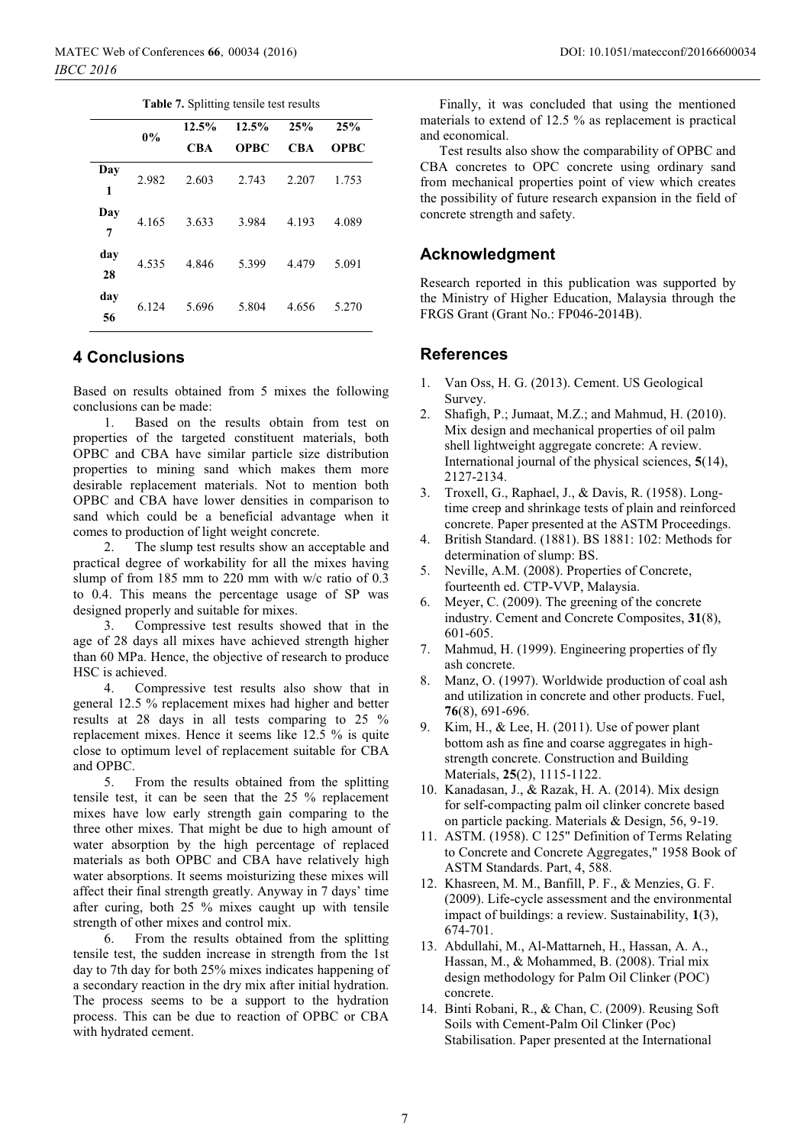|  | <b>Table 7.</b> Splitting tensile test results |  |  |
|--|------------------------------------------------|--|--|
|  |                                                |  |  |

|           | $0\%$ | 12.5%<br><b>CBA</b> | 12.5%<br><b>OPBC</b> | 25%<br><b>CBA</b> | 25%<br><b>OPBC</b> |
|-----------|-------|---------------------|----------------------|-------------------|--------------------|
| Day<br>1  | 2.982 | 2.603               | 2.743                | 2.207             | 1.753              |
| Day<br>7  | 4.165 | 3.633               | 3.984                | 4.193             | 4.089              |
| day<br>28 | 4.535 | 4.846               | 5.399                | 4.479             | 5.091              |
| day<br>56 | 6.124 | 5.696               | 5.804                | 4.656             | 5.270              |

# **4 Conclusions**

Based on results obtained from 5 mixes the following conclusions can be made:

1. Based on the results obtain from test on properties of the targeted constituent materials, both OPBC and CBA have similar particle size distribution properties to mining sand which makes them more desirable replacement materials. Not to mention both OPBC and CBA have lower densities in comparison to sand which could be a beneficial advantage when it comes to production of light weight concrete.

2. The slump test results show an acceptable and practical degree of workability for all the mixes having slump of from 185 mm to 220 mm with w/c ratio of 0.3 to 0.4. This means the percentage usage of SP was designed properly and suitable for mixes.

3. Compressive test results showed that in the age of 28 days all mixes have achieved strength higher than 60 MPa. Hence, the objective of research to produce HSC is achieved.

4. Compressive test results also show that in general 12.5 % replacement mixes had higher and better results at 28 days in all tests comparing to 25 % replacement mixes. Hence it seems like 12.5 % is quite close to optimum level of replacement suitable for CBA and OPBC.

5. From the results obtained from the splitting tensile test, it can be seen that the 25 % replacement mixes have low early strength gain comparing to the three other mixes. That might be due to high amount of water absorption by the high percentage of replaced materials as both OPBC and CBA have relatively high water absorptions. It seems moisturizing these mixes will affect their final strength greatly. Anyway in 7 days' time after curing, both 25 % mixes caught up with tensile strength of other mixes and control mix.

6. From the results obtained from the splitting tensile test, the sudden increase in strength from the 1st day to 7th day for both 25% mixes indicates happening of a secondary reaction in the dry mix after initial hydration. The process seems to be a support to the hydration process. This can be due to reaction of OPBC or CBA with hydrated cement.

Finally, it was concluded that using the mentioned materials to extend of 12.5 % as replacement is practical and economical.

Test results also show the comparability of OPBC and CBA concretes to OPC concrete using ordinary sand from mechanical properties point of view which creates the possibility of future research expansion in the field of concrete strength and safety.

# **Acknowledgment**

Research reported in this publication was supported by the Ministry of Higher Education, Malaysia through the FRGS Grant (Grant No.: FP046-2014B).

# **References**

- 1. Van Oss, H. G. (2013). Cement. US Geological Survey.
- 2. Shafigh, P.; Jumaat, M.Z.; and Mahmud, H. (2010). Mix design and mechanical properties of oil palm shell lightweight aggregate concrete: A review. International journal of the physical sciences, **5**(14), 2127-2134.
- 3. Troxell, G., Raphael, J., & Davis, R. (1958). Longtime creep and shrinkage tests of plain and reinforced concrete. Paper presented at the ASTM Proceedings.
- 4. British Standard. (1881). BS 1881: 102: Methods for determination of slump: BS.
- 5. Neville, A.M. (2008). Properties of Concrete, fourteenth ed. CTP-VVP, Malaysia.
- 6. Meyer, C. (2009). The greening of the concrete industry. Cement and Concrete Composites, **31**(8), 601-605.
- 7. Mahmud, H. (1999). Engineering properties of fly ash concrete.
- 8. Manz, O. (1997). Worldwide production of coal ash and utilization in concrete and other products. Fuel, **76**(8), 691-696.
- 9. Kim, H., & Lee, H. (2011). Use of power plant bottom ash as fine and coarse aggregates in highstrength concrete. Construction and Building Materials, **25**(2), 1115-1122.
- 10. Kanadasan, J., & Razak, H. A. (2014). Mix design for self-compacting palm oil clinker concrete based on particle packing. Materials & Design, 56, 9-19.
- 11. ASTM. (1958). C 125" Definition of Terms Relating to Concrete and Concrete Aggregates," 1958 Book of ASTM Standards. Part, 4, 588.
- 12. Khasreen, M. M., Banfill, P. F., & Menzies, G. F. (2009). Life-cycle assessment and the environmental impact of buildings: a review. Sustainability, **1**(3), 674-701.
- 13. Abdullahi, M., Al-Mattarneh, H., Hassan, A. A., Hassan, M., & Mohammed, B. (2008). Trial mix design methodology for Palm Oil Clinker (POC) concrete.
- 14. Binti Robani, R., & Chan, C. (2009). Reusing Soft Soils with Cement-Palm Oil Clinker (Poc) Stabilisation. Paper presented at the International